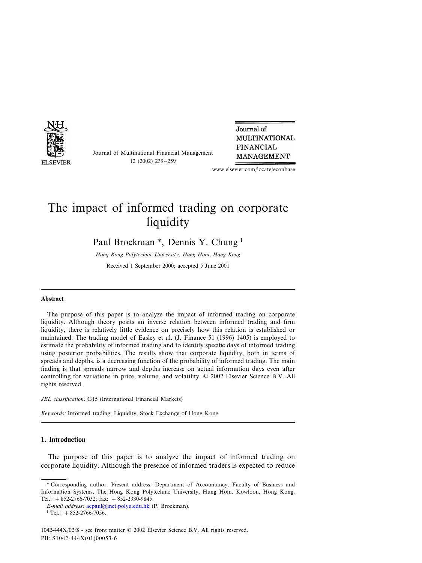

Journal of Multinational Financial Management 12 (2002) 239–259

Journal of **MULTINATIONAL** FINANCIAL **MANAGEMENT** 

www.elsevier.com/locate/econbase

## The impact of informed trading on corporate liquidity

Paul Brockman \*, Dennis Y. Chung <sup>1</sup>

*Hong Kong Polytechnic Uniersity*, *Hung Hom*, *Hong Kong*

Received 1 September 2000; accepted 5 June 2001

## **Abstract**

The purpose of this paper is to analyze the impact of informed trading on corporate liquidity. Although theory posits an inverse relation between informed trading and firm liquidity, there is relatively little evidence on precisely how this relation is established or maintained. The trading model of Easley et al. (J. Finance 51 (1996) 1405) is employed to estimate the probability of informed trading and to identify specific days of informed trading using posterior probabilities. The results show that corporate liquidity, both in terms of spreads and depths, is a decreasing function of the probability of informed trading. The main finding is that spreads narrow and depths increase on actual information days even after controlling for variations in price, volume, and volatility. © 2002 Elsevier Science B.V. All rights reserved.

*JEL classification*: G15 (International Financial Markets)

*Keywords*: Informed trading; Liquidity; Stock Exchange of Hong Kong

## **1. Introduction**

The purpose of this paper is to analyze the impact of informed trading on corporate liquidity. Although the presence of informed traders is expected to reduce

<sup>\*</sup> Corresponding author. Present address: Department of Accountancy, Faculty of Business and Information Systems, The Hong Kong Polytechnic University, Hung Hom, Kowloon, Hong Kong. Tel.:  $+852-2766-7032$ ; fax:  $+852-2330-9845$ .

*E*-*mail address*: [acpaul@inet.polyu.edu.hk](mailto:acpaul@inet.polyu.edu.hk) (P. Brockman).

 $1$  Tel.: + 852-2766-7056.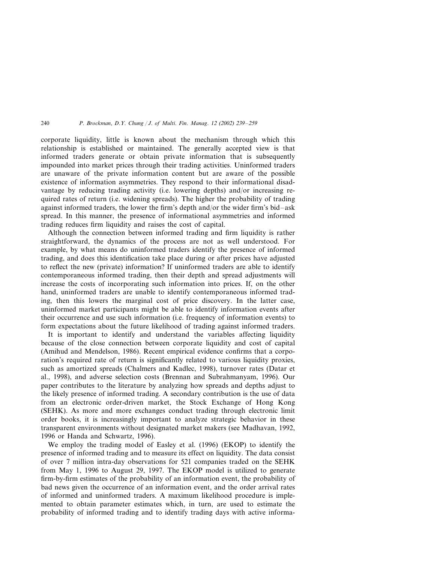corporate liquidity, little is known about the mechanism through which this relationship is established or maintained. The generally accepted view is that informed traders generate or obtain private information that is subsequently impounded into market prices through their trading activities. Uninformed traders are unaware of the private information content but are aware of the possible existence of information asymmetries. They respond to their informational disadvantage by reducing trading activity (i.e. lowering depths) and/or increasing required rates of return (i.e. widening spreads). The higher the probability of trading against informed traders, the lower the firm's depth and/or the wider firm's bid–ask spread. In this manner, the presence of informational asymmetries and informed trading reduces firm liquidity and raises the cost of capital.

Although the connection between informed trading and firm liquidity is rather straightforward, the dynamics of the process are not as well understood. For example, by what means do uninformed traders identify the presence of informed trading, and does this identification take place during or after prices have adjusted to reflect the new (private) information? If uninformed traders are able to identify contemporaneous informed trading, then their depth and spread adjustments will increase the costs of incorporating such information into prices. If, on the other hand, uninformed traders are unable to identify contemporaneous informed trading, then this lowers the marginal cost of price discovery. In the latter case, uninformed market participants might be able to identify information events after their occurrence and use such information (i.e. frequency of information events) to form expectations about the future likelihood of trading against informed traders.

It is important to identify and understand the variables affecting liquidity because of the close connection between corporate liquidity and cost of capital (Amihud and Mendelson, 1986). Recent empirical evidence confirms that a corporation's required rate of return is significantly related to various liquidity proxies, such as amortized spreads (Chalmers and Kadlec, 1998), turnover rates (Datar et al., 1998), and adverse selection costs (Brennan and Subrahmanyam, 1996). Our paper contributes to the literature by analyzing how spreads and depths adjust to the likely presence of informed trading. A secondary contribution is the use of data from an electronic order-driven market, the Stock Exchange of Hong Kong (SEHK). As more and more exchanges conduct trading through electronic limit order books, it is increasingly important to analyze strategic behavior in these transparent environments without designated market makers (see Madhavan, 1992, 1996 or Handa and Schwartz, 1996).

We employ the trading model of Easley et al. (1996) (EKOP) to identify the presence of informed trading and to measure its effect on liquidity. The data consist of over 7 million intra-day observations for 521 companies traded on the SEHK from May 1, 1996 to August 29, 1997. The EKOP model is utilized to generate firm-by-firm estimates of the probability of an information event, the probability of bad news given the occurrence of an information event, and the order arrival rates of informed and uninformed traders. A maximum likelihood procedure is implemented to obtain parameter estimates which, in turn, are used to estimate the probability of informed trading and to identify trading days with active informa-